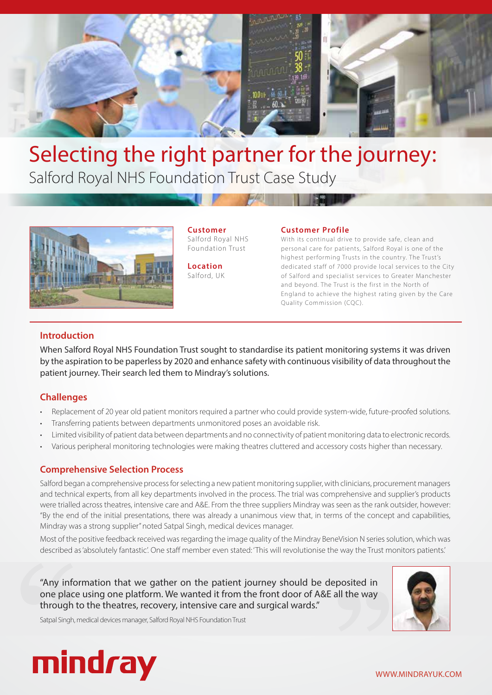

# Selecting the right partner for the journey: Salford Royal NHS Foundation Trust Case Study



**Customer** Salford Royal NHS Foundation Trust

**Location** Salford, UK

#### **Customer Profile**

With its continual drive to provide safe, clean and personal care for patients, Salford Royal is one of the highest performing Trusts in the country. The Trust's dedicated staff of 7000 provide local services to the City of Salford and specialist ser vices to Greater Manchester and beyond. The Trust is the first in the North of England to achieve the highest rating given by the Care Quality Commission (CQC).

### **Introduction**

When Salford Royal NHS Foundation Trust sought to standardise its patient monitoring systems it was driven by the aspiration to be paperless by 2020 and enhance safety with continuous visibility of data throughout the patient journey. Their search led them to Mindray's solutions.

### **Challenges**

- Replacement of 20 year old patient monitors required a partner who could provide system-wide, future-proofed solutions.
- Transferring patients between departments unmonitored poses an avoidable risk.
- Limited visibility of patient data between departments and no connectivity of patient monitoring data to electronic records.
- Various peripheral monitoring technologies were making theatres cluttered and accessory costs higher than necessary.

### **Comprehensive Selection Process**

Salford began a comprehensive process for selecting a new patient monitoring supplier, with clinicians, procurement managers and technical experts, from all key departments involved in the process. The trial was comprehensive and supplier's products were trialled across theatres, intensive care and A&E. From the three suppliers Mindray was seen as the rank outsider, however: "By the end of the initial presentations, there was already a unanimous view that, in terms of the concept and capabilities, Mindray was a strong supplier" noted Satpal Singh, medical devices manager.

Most of the positive feedback received was regarding the image quality of the Mindray BeneVision N series solution, which was described as 'absolutely fantastic'. One staff member even stated: 'This will revolutionise the way the Trust monitors patients.'

way the Trust me<br> **posited in**<br> **III the way** "Any information that we gather on the patient journey should be deposited in one place using one platform. We wanted it from the front door of A&E all the way through to the theatres, recovery, intensive care and surgical wards."



Satpal Singh, medical devices manager, Salford Royal NHS Foundation Trust